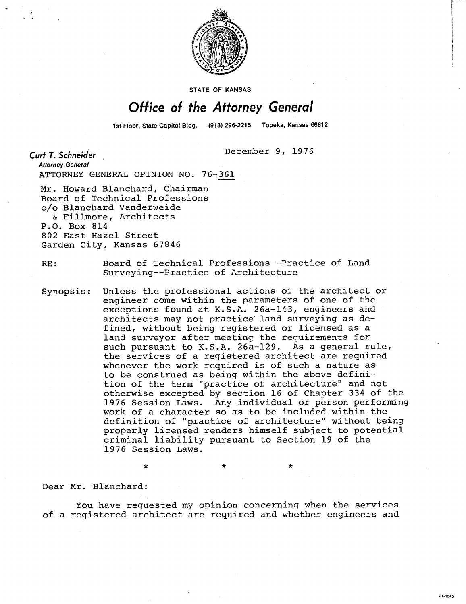

**STATE OF KANSAS** 

## Office of the Attorney General

1st Floor, State Capitol Bldg. (913) 296-2215 Topeka, Kansas 66612

December 9, 1976

Curt T. Schneider

**Attorney General** ATTORNEY GENERAL OPINION NO. 76-361

Mr. Howard Blanchard, Chairman Board of Technical Professions c/o Blanchard Vanderweide & Fillmore, Architects P.O. Box 814 802 East Hazel Street Garden City, Kansas 67846

RE: Board of Technical Professions--Practice of Land Surveying--Practice of Architecture

Synopsis: Unless the professional actions of the architect or engineer come within the parameters of one of the exceptions found at K.S.A. 26a-143, engineers and architects may not practice' land surveying as defined, without being registered or licensed as a land surveyor after meeting the requirements for such pursuant to K.S.A. 26a-129. As a general rule, the services of a registered architect are required whenever the work required is of such a nature as to be construed as being within the above definition of the term "practice of architecture" and not otherwise excepted by section 16 of Chapter 334 of the 1976 Session Laws. Any individual or person performing work of a character so as to be included within the definition of "practice of architecture" without being properly licensed renders himself subject to potential criminal liability pursuant to Section 19 of the 1976 Session Laws.

Dear Mr. Blanchard:

You have requested my opinion concerning when the services of a registered architect are required and whether engineers and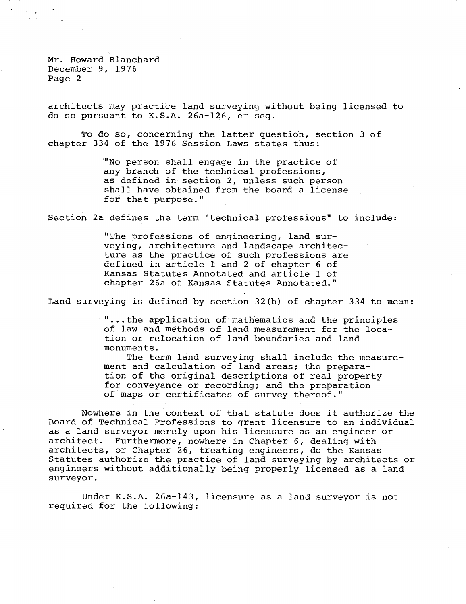Mr. Howard Blanchard December 9, 1976 Page 2

architects may practice land surveying without being licensed to do so pursuant to K.S.A. 26a-126, et seq.

To do so, concerning the latter question, section 3 of chapter 334 of the 1976 Session Laws states thus:

> 'No person shall engage in the practice of any branch of the technical professions, as defined in section 2, unless such person shall have obtained from the board a license for that purpose."

Section 2a defines the term "technical professions" to include:

"The professions of engineering, land surveying, architecture and landscape architecture as the practice of such professions are defined in article 1 and 2 of chapter 6 of Kansas Statutes Annotated and article 1 of chapter 26a of Kansas Statutes Annotated."

Land surveying is defined by section 32(b) of chapter 334 to mean:

**"** ...the application of mathematics and the principles of law and methods of land measurement for the location or relocation of land boundaries and land monuments.

The term land surveying shall include the measurement and calculation of land areas; the preparation of the original descriptions of real property for conveyance or recording; and the preparation of maps or certificates of survey thereof."

Nowhere in the context of that statute does it authorize the Board of Technical Professions to grant licensure to an individual as a land surveyor merely upon his licensure as an engineer or architect. Furthermore, nowhere in Chapter 6, dealing with architects, or Chapter 26, treating engineers, do the Kansas Statutes authorize the practice of land surveying by architects or engineers without additionally being properly licensed as a land surveyor.

Under K.S.A. 26a-143, licensure as a land surveyor is not required for the following: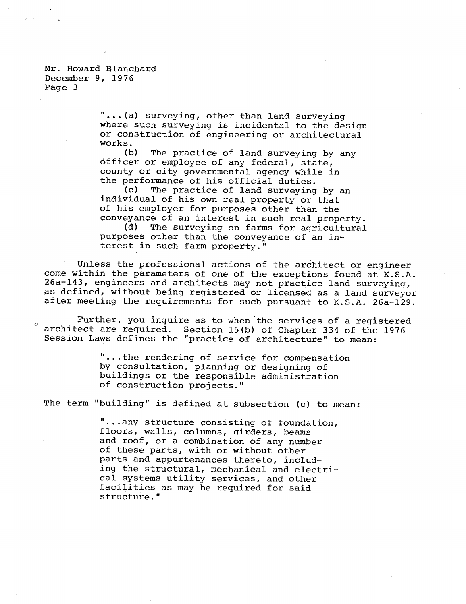Mr. Howard Blanchard December 9, 1976 Page 3

> "...(a) surveying, other than land surveying where such surveying is incidental to the design or construction of engineering or architectural works.

(b) The practice of land surveying by any officer or employee of any federal, state, county or city governmental agency while in the performance of his official duties.<br>(c) The practice of land surveying

The practice of land surveying by an individual of his own real property or that of his employer for purposes other than the conveyance of an interest in such real property.<br>(d) The surveying on farms for agricultural

The surveying on farms for agricultural purposes other than the conveyance of an interest in such farm property."

Unless the professional actions of the architect or engineer come within the parameters of one of the exceptions found at K.S.A. 26a-143, engineers and architects may not practice land surveying, as defined, without being registered or licensed as a land surveyor after meeting the requirements for such pursuant to K.S.A. 26a-129.

Further, you inquire as to when the services of a registered architect are required. Section 15(b) of Chapter 334 of the 1976 Session Laws defines the "practice of architecture" to mean:

> "...the rendering of service for compensation by consultation, planning or designing of buildings or the responsible administration of construction projects."

The term "building" is defined at subsection (c) to mean:

...any structure consisting of foundation, floors, walls, columns, girders, beams and roof, or a combination of any number of these parts, with or without other parts and appurtenances thereto, including the structural, mechanical and electrical systems utility services, and other facilities as may be required for said structure."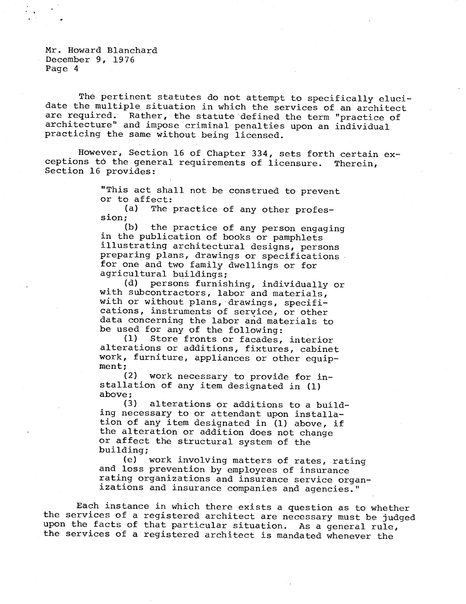Mr. Howard Blanchard December 9, 1976 Page 4

The pertinent statutes do not attempt to specifically elucidate the multiple situation in which the services of an architect are required. Rather, the statute defined the term "practice of architecture" and impose criminal penalties upon an individual practicing the same without being licensed.

However, Section 16 of Chapter 334, sets forth certain exceptions to the general requirements of licensure. Therein, Section 16 provides:

> "This act shall not be construed to prevent or to affect:

(a) The practice of any other profession;

(b) the practice of any person engaging in the publication of books or pamphlets illustrating architectural designs, persons preparing plans, drawings or specifications for one and two family dwellings or for agricultural buildings;

(d) persons furnishing, individually or with subcontractors, labor and materials, with or without plans, drawings, specifications, instruments of service, or other data concerning the labor and materials to be used for any of the following:

(1) Store fronts or facades, interior alterations or additions, fixtures, cabinet work, furniture, appliances or other equipment;

(2) work necessary to provide for installation of any item designated in (1) above;

(3) alterations or additions to a building necessary to or attendant upon installation of any item designated in (1) above, if the alteration or addition does not change or affect the structural system of the building;

(e) work involving matters of rates, rating and loss prevention by employees of insurance rating organizations and insurance service organizations and insurance companies and agencies."

Each instance in which there exists a question as to whether the services of a registered architect are necessary must be judged upon the facts of that particular situation. As a general rule, the services of a registered architect is mandated whenever the